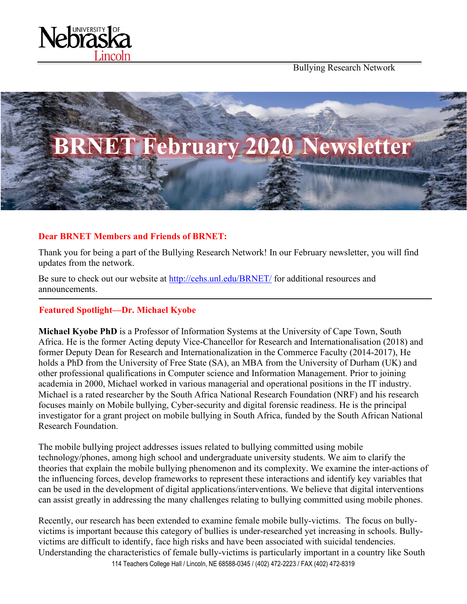

Bullying Research Network



# **Dear BRNET Members and Friends of BRNET:**

Thank you for being a part of the Bullying Research Network! In our February newsletter, you will find updates from the network.

Be sure to check out our website at<http://cehs.unl.edu/BRNET/> for additional resources and announcements.

# **Featured Spotlight—Dr. Michael Kyobe**

**Michael Kyobe PhD** is a Professor of Information Systems at the University of Cape Town, South Africa. He is the former Acting deputy Vice-Chancellor for Research and Internationalisation (2018) and former Deputy Dean for Research and Internationalization in the Commerce Faculty (2014-2017), He holds a PhD from the University of Free State (SA), an MBA from the University of Durham (UK) and other professional qualifications in Computer science and Information Management. Prior to joining academia in 2000, Michael worked in various managerial and operational positions in the IT industry. Michael is a rated researcher by the South Africa National Research Foundation (NRF) and his research focuses mainly on Mobile bullying, Cyber-security and digital forensic readiness. He is the principal investigator for a grant project on mobile bullying in South Africa, funded by the South African National Research Foundation.

The mobile bullying project addresses issues related to bullying committed using mobile technology/phones, among high school and undergraduate university students. We aim to clarify the theories that explain the mobile bullying phenomenon and its complexity. We examine the inter-actions of the influencing forces, develop frameworks to represent these interactions and identify key variables that can be used in the development of digital applications/interventions. We believe that digital interventions can assist greatly in addressing the many challenges relating to bullying committed using mobile phones.

114 Teachers College Hall / Lincoln, NE 68588-0345 / (402) 472-2223 / FAX (402) 472-8319 Recently, our research has been extended to examine female mobile bully-victims. The focus on bullyvictims is important because this category of bullies is under-researched yet increasing in schools. Bullyvictims are difficult to identify, face high risks and have been associated with suicidal tendencies. Understanding the characteristics of female bully-victims is particularly important in a country like South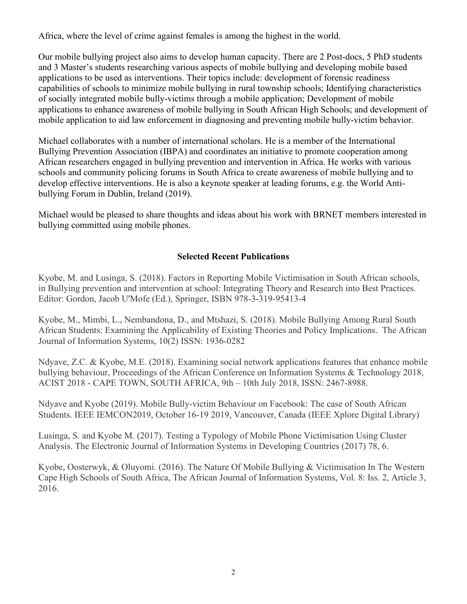Africa, where the level of crime against females is among the highest in the world.

Our mobile bullying project also aims to develop human capacity. There are 2 Post-docs, 5 PhD students and 3 Master's students researching various aspects of mobile bullying and developing mobile based applications to be used as interventions. Their topics include: development of forensic readiness capabilities of schools to minimize mobile bullying in rural township schools; Identifying characteristics of socially integrated mobile bully-victims through a mobile application; Development of mobile applications to enhance awareness of mobile bullying in South African High Schools; and development of mobile application to aid law enforcement in diagnosing and preventing mobile bully-victim behavior.

Michael collaborates with a number of international scholars. He is a member of the International Bullying Prevention Association (IBPA) and coordinates an initiative to promote cooperation among African researchers engaged in bullying prevention and intervention in Africa. He works with various schools and community policing forums in South Africa to create awareness of mobile bullying and to develop effective interventions. He is also a keynote speaker at leading forums, e.g. the World Antibullying Forum in Dublin, Ireland (2019).

Michael would be pleased to share thoughts and ideas about his work with BRNET members interested in bullying committed using mobile phones.

# **Selected Recent Publications**

Kyobe, M. and Lusinga, S. (2018). Factors in Reporting Mobile Victimisation in South African schools, in Bullying prevention and intervention at school: Integrating Theory and Research into Best Practices. Editor: Gordon, Jacob U'Mofe (Ed.), Springer, ISBN 978-3-319-95413-4

Kyobe, M., Mimbi, L., Nembandona, D., and Mtshazi, S. (2018). Mobile Bullying Among Rural South African Students: Examining the Applicability of Existing Theories and Policy Implications. The African Journal of Information Systems, 10(2) ISSN: 1936-0282

Ndyave, Z.C. & Kyobe, M.E. (2018). Examining social network applications features that enhance mobile bullying behaviour, Proceedings of the African Conference on Information Systems & Technology 2018, ACIST 2018 - CAPE TOWN, SOUTH AFRICA, 9th – 10th July 2018, ISSN: 2467-8988.

Ndyave and Kyobe (2019). Mobile Bully-victim Behaviour on Facebook: The case of South African Students. IEEE IEMCON2019, October 16-19 2019, Vancouver, Canada (IEEE Xplore Digital Library)

Lusinga, S. and Kyobe M. (2017). Testing a Typology of Mobile Phone Victimisation Using Cluster Analysis. The Electronic Journal of Information Systems in Developing Countries (2017) 78, 6.

Kyobe, Oosterwyk, & Oluyomi. (2016). The Nature Of Mobile Bullying & Victimisation In The Western Cape High Schools of South Africa, The African Journal of Information Systems, Vol. 8: Iss. 2, Article 3, 2016.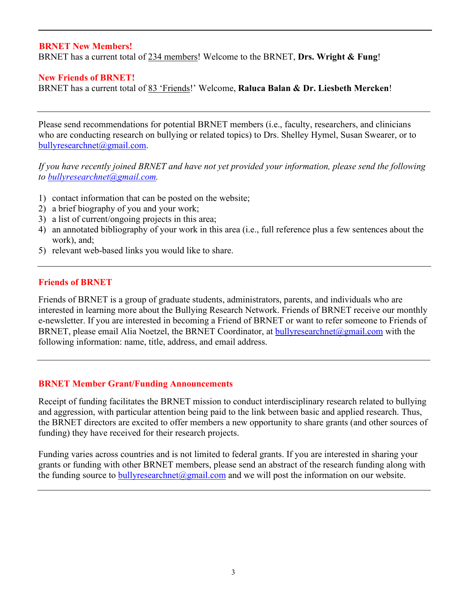# **BRNET New Members!**

BRNET has a current total of 234 members! Welcome to the BRNET, **Drs. Wright & Fung**!

#### **New Friends of BRNET!**

BRNET has a current total of 83 'Friends!' Welcome, **Raluca Balan & Dr. Liesbeth Mercken**!

Please send recommendations for potential BRNET members (i.e., faculty, researchers, and clinicians who are conducting research on bullying or related topics) to Drs. Shelley Hymel, Susan Swearer, or to [bullyresearchnet@gmail.com.](mailto:bullyresearchnet@gmail.com)

*If you have recently joined BRNET and have not yet provided your information, please send the following to [bullyresearchnet@gmail.com.](mailto:bullyresearchnet@gmail.com)*

- 1) contact information that can be posted on the website;
- 2) a brief biography of you and your work;
- 3) a list of current/ongoing projects in this area;
- 4) an annotated bibliography of your work in this area (i.e., full reference plus a few sentences about the work), and;
- 5) relevant web-based links you would like to share.

#### **Friends of BRNET**

Friends of BRNET is a group of graduate students, administrators, parents, and individuals who are interested in learning more about the Bullying Research Network. Friends of BRNET receive our monthly e-newsletter. If you are interested in becoming a Friend of BRNET or want to refer someone to Friends of BRNET, please email Alia Noetzel, the BRNET Coordinator, at [bullyresearchnet@gmail.com](mailto:bullyresearchnet@gmail.com) with the following information: name, title, address, and email address.

#### **BRNET Member Grant/Funding Announcements**

Receipt of funding facilitates the BRNET mission to conduct interdisciplinary research related to bullying and aggression, with particular attention being paid to the link between basic and applied research. Thus, the BRNET directors are excited to offer members a new opportunity to share grants (and other sources of funding) they have received for their research projects.

Funding varies across countries and is not limited to federal grants. If you are interested in sharing your grants or funding with other BRNET members, please send an abstract of the research funding along with the funding source to bully research net  $\omega$  gmail.com and we will post the information on our website.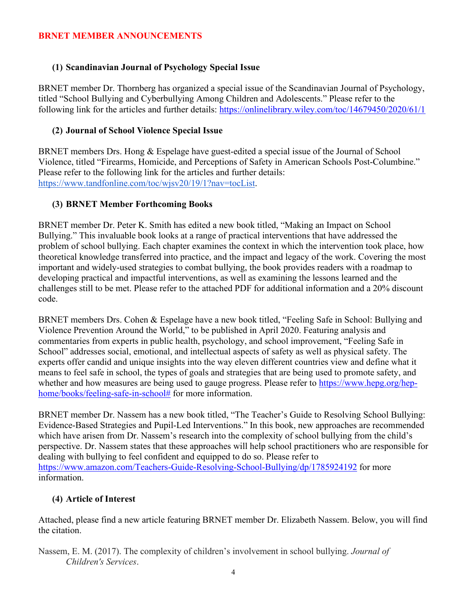# **BRNET MEMBER ANNOUNCEMENTS**

# **(1) Scandinavian Journal of Psychology Special Issue**

BRNET member Dr. Thornberg has organized a special issue of the Scandinavian Journal of Psychology, titled "School Bullying and Cyberbullying Among Children and Adolescents." Please refer to the following link for the articles and further details:<https://onlinelibrary.wiley.com/toc/14679450/2020/61/1>

### **(2) Journal of School Violence Special Issue**

BRNET members Drs. Hong & Espelage have guest-edited a special issue of the Journal of School Violence, titled "Firearms, Homicide, and Perceptions of Safety in American Schools Post-Columbine." Please refer to the following link for the articles and further details: [https://www.tandfonline.com/toc/wjsv20/19/1?nav=tocList.](https://urldefense.proofpoint.com/v2/url?u=https-3A__www.tandfonline.com_toc_wjsv20_19_1-3Fnav-3DtocList&d=DwMFAw&c=Cu5g146wZdoqVuKpTNsYHeFX_rg6kWhlkLF8Eft-wwo&r=cXoPjE5bhAYAw7UpUbU1OVNKQBjHq0uZTOrbgqFBDIg&m=7MynkyfIUI9cXc2Pw-WVjSGQuV6CuBcFNN1kVCZgk5A&s=IAq_4mRigsRl78KufKxJ2E2swGZTuaRgpV5g0niRARo&e=)

# **(3) BRNET Member Forthcoming Books**

BRNET member Dr. Peter K. Smith has edited a new book titled, "Making an Impact on School Bullying." This invaluable book looks at a range of practical interventions that have addressed the problem of school bullying. Each chapter examines the context in which the intervention took place, how theoretical knowledge transferred into practice, and the impact and legacy of the work. Covering the most important and widely-used strategies to combat bullying, the book provides readers with a roadmap to developing practical and impactful interventions, as well as examining the lessons learned and the challenges still to be met. Please refer to the attached PDF for additional information and a 20% discount code.

BRNET members Drs. Cohen & Espelage have a new book titled, "Feeling Safe in School: Bullying and Violence Prevention Around the World," to be published in April 2020. Featuring analysis and commentaries from experts in public health, psychology, and school improvement, "Feeling Safe in School" addresses social, emotional, and intellectual aspects of safety as well as physical safety. The experts offer candid and unique insights into the way eleven different countries view and define what it means to feel safe in school, the types of goals and strategies that are being used to promote safety, and whether and how measures are being used to gauge progress. Please refer to [https://www.hepg.org/hep](https://www.hepg.org/hep-home/books/feeling-safe-in-school)[home/books/feeling-safe-in-school#](https://www.hepg.org/hep-home/books/feeling-safe-in-school) for more information.

BRNET member Dr. Nassem has a new book titled, "The Teacher's Guide to Resolving School Bullying: Evidence-Based Strategies and Pupil-Led Interventions." In this book, new approaches are recommended which have arisen from Dr. Nassem's research into the complexity of school bullying from the child's perspective. Dr. Nassem states that these approaches will help school practitioners who are responsible for dealing with bullying to feel confident and equipped to do so. Please refer to <https://www.amazon.com/Teachers-Guide-Resolving-School-Bullying/dp/1785924192> for more information.

# **(4) Article of Interest**

Attached, please find a new article featuring BRNET member Dr. Elizabeth Nassem. Below, you will find the citation.

Nassem, E. M. (2017). The complexity of children's involvement in school bullying. *Journal of Children's Services*.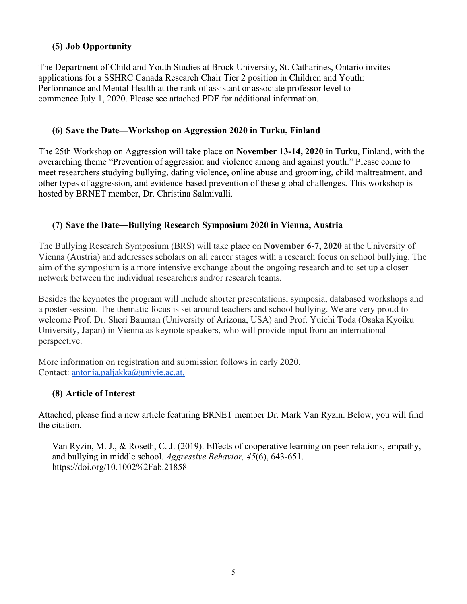# **(5) Job Opportunity**

The Department of Child and Youth Studies at Brock University, St. Catharines, Ontario invites applications for a SSHRC Canada Research Chair Tier 2 position in Children and Youth: Performance and Mental Health at the rank of assistant or associate professor level to commence July 1, 2020. Please see attached PDF for additional information.

### **(6) Save the Date—Workshop on Aggression 2020 in Turku, Finland**

The 25th Workshop on Aggression will take place on **November 13-14, 2020** in Turku, Finland, with the overarching theme "Prevention of aggression and violence among and against youth." Please come to meet researchers studying bullying, dating violence, online abuse and grooming, child maltreatment, and other types of aggression, and evidence-based prevention of these global challenges. This workshop is hosted by BRNET member, Dr. Christina Salmivalli.

# **(7) Save the Date—Bullying Research Symposium 2020 in Vienna, Austria**

The Bullying Research Symposium (BRS) will take place on **November 6-7, 2020** at the University of Vienna (Austria) and addresses scholars on all career stages with a research focus on school bullying. The aim of the symposium is a more intensive exchange about the ongoing research and to set up a closer network between the individual researchers and/or research teams.

Besides the keynotes the program will include shorter presentations, symposia, databased workshops and a poster session. The thematic focus is set around teachers and school bullying. We are very proud to welcome Prof. Dr. Sheri Bauman (University of Arizona, USA) and Prof. Yuichi Toda (Osaka Kyoiku University, Japan) in Vienna as keynote speakers, who will provide input from an international perspective.

More information on registration and submission follows in early 2020. Contact: [antonia.paljakka@univie.ac.at.](mailto:antonia.paljakka@univie.ac.at)

# **(8) Article of Interest**

Attached, please find a new article featuring BRNET member Dr. Mark Van Ryzin. Below, you will find the citation.

Van Ryzin, M. J., & Roseth, C. J. (2019). Effects of cooperative learning on peer relations, empathy, and bullying in middle school. *Aggressive Behavior, 45*(6), 643-651. https://doi.org/10.1002%2Fab.21858